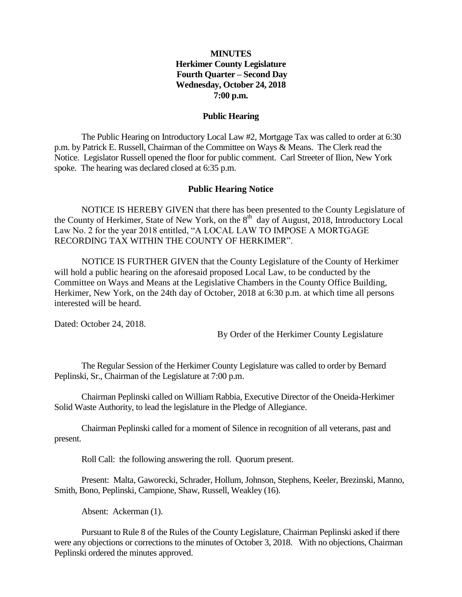### **MINUTES Herkimer County Legislature Fourth Quarter – Second Day Wednesday, October 24, 2018 7:00 p.m.**

#### **Public Hearing**

The Public Hearing on Introductory Local Law #2, Mortgage Tax was called to order at 6:30 p.m. by Patrick E. Russell, Chairman of the Committee on Ways & Means. The Clerk read the Notice. Legislator Russell opened the floor for public comment. Carl Streeter of Ilion, New York spoke. The hearing was declared closed at 6:35 p.m.

#### **Public Hearing Notice**

NOTICE IS HEREBY GIVEN that there has been presented to the County Legislature of the County of Herkimer, State of New York, on the  $8<sup>th</sup>$  day of August, 2018, Introductory Local Law No. 2 for the year 2018 entitled, "A LOCAL LAW TO IMPOSE A MORTGAGE RECORDING TAX WITHIN THE COUNTY OF HERKIMER".

NOTICE IS FURTHER GIVEN that the County Legislature of the County of Herkimer will hold a public hearing on the aforesaid proposed Local Law, to be conducted by the Committee on Ways and Means at the Legislative Chambers in the County Office Building, Herkimer, New York, on the 24th day of October, 2018 at 6:30 p.m. at which time all persons interested will be heard.

Dated: October 24, 2018.

By Order of the Herkimer County Legislature

The Regular Session of the Herkimer County Legislature was called to order by Bernard Peplinski, Sr., Chairman of the Legislature at 7:00 p.m.

Chairman Peplinski called on William Rabbia, Executive Director of the Oneida-Herkimer Solid Waste Authority, to lead the legislature in the Pledge of Allegiance.

Chairman Peplinski called for a moment of Silence in recognition of all veterans, past and present.

Roll Call: the following answering the roll. Quorum present.

Present: Malta, Gaworecki, Schrader, Hollum, Johnson, Stephens, Keeler, Brezinski, Manno, Smith, Bono, Peplinski, Campione, Shaw, Russell, Weakley (16).

Absent: Ackerman (1).

Pursuant to Rule 8 of the Rules of the County Legislature, Chairman Peplinski asked if there were any objections or corrections to the minutes of October 3, 2018. With no objections, Chairman Peplinski ordered the minutes approved.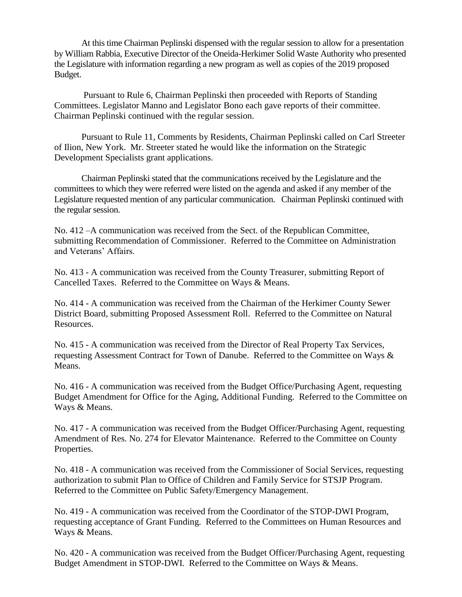At this time Chairman Peplinski dispensed with the regular session to allow for a presentation by William Rabbia, Executive Director of the Oneida-Herkimer Solid Waste Authority who presented the Legislature with information regarding a new program as well as copies of the 2019 proposed Budget.

Pursuant to Rule 6, Chairman Peplinski then proceeded with Reports of Standing Committees. Legislator Manno and Legislator Bono each gave reports of their committee. Chairman Peplinski continued with the regular session.

Pursuant to Rule 11, Comments by Residents, Chairman Peplinski called on Carl Streeter of Ilion, New York. Mr. Streeter stated he would like the information on the Strategic Development Specialists grant applications.

Chairman Peplinski stated that the communications received by the Legislature and the committees to which they were referred were listed on the agenda and asked if any member of the Legislature requested mention of any particular communication. Chairman Peplinski continued with the regular session.

No. 412 –A communication was received from the Sect. of the Republican Committee, submitting Recommendation of Commissioner. Referred to the Committee on Administration and Veterans' Affairs.

No. 413 - A communication was received from the County Treasurer, submitting Report of Cancelled Taxes. Referred to the Committee on Ways & Means.

No. 414 - A communication was received from the Chairman of the Herkimer County Sewer District Board, submitting Proposed Assessment Roll. Referred to the Committee on Natural Resources.

No. 415 - A communication was received from the Director of Real Property Tax Services, requesting Assessment Contract for Town of Danube. Referred to the Committee on Ways & Means.

No. 416 - A communication was received from the Budget Office/Purchasing Agent, requesting Budget Amendment for Office for the Aging, Additional Funding. Referred to the Committee on Ways & Means.

No. 417 - A communication was received from the Budget Officer/Purchasing Agent, requesting Amendment of Res. No. 274 for Elevator Maintenance. Referred to the Committee on County Properties.

No. 418 - A communication was received from the Commissioner of Social Services, requesting authorization to submit Plan to Office of Children and Family Service for STSJP Program. Referred to the Committee on Public Safety/Emergency Management.

No. 419 - A communication was received from the Coordinator of the STOP-DWI Program, requesting acceptance of Grant Funding. Referred to the Committees on Human Resources and Ways & Means.

No. 420 - A communication was received from the Budget Officer/Purchasing Agent, requesting Budget Amendment in STOP-DWI. Referred to the Committee on Ways & Means.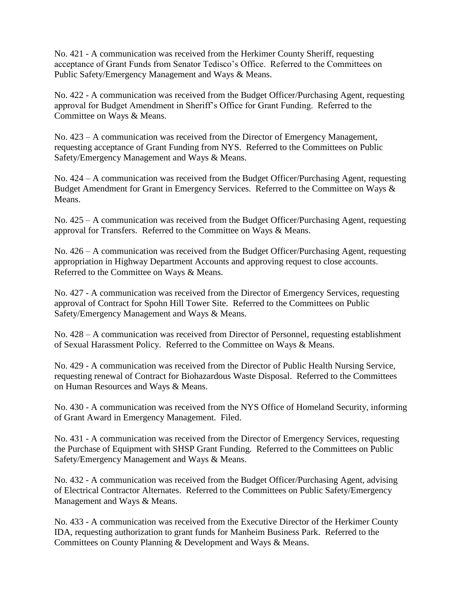No. 421 - A communication was received from the Herkimer County Sheriff, requesting acceptance of Grant Funds from Senator Tedisco's Office. Referred to the Committees on Public Safety/Emergency Management and Ways & Means.

No. 422 - A communication was received from the Budget Officer/Purchasing Agent, requesting approval for Budget Amendment in Sheriff's Office for Grant Funding. Referred to the Committee on Ways & Means.

No. 423 – A communication was received from the Director of Emergency Management, requesting acceptance of Grant Funding from NYS. Referred to the Committees on Public Safety/Emergency Management and Ways & Means.

No. 424 – A communication was received from the Budget Officer/Purchasing Agent, requesting Budget Amendment for Grant in Emergency Services. Referred to the Committee on Ways & Means.

No. 425 – A communication was received from the Budget Officer/Purchasing Agent, requesting approval for Transfers. Referred to the Committee on Ways & Means.

No. 426 – A communication was received from the Budget Officer/Purchasing Agent, requesting appropriation in Highway Department Accounts and approving request to close accounts. Referred to the Committee on Ways & Means.

No. 427 - A communication was received from the Director of Emergency Services, requesting approval of Contract for Spohn Hill Tower Site. Referred to the Committees on Public Safety/Emergency Management and Ways & Means.

No. 428 – A communication was received from Director of Personnel, requesting establishment of Sexual Harassment Policy. Referred to the Committee on Ways & Means.

No. 429 - A communication was received from the Director of Public Health Nursing Service, requesting renewal of Contract for Biohazardous Waste Disposal. Referred to the Committees on Human Resources and Ways & Means.

No. 430 - A communication was received from the NYS Office of Homeland Security, informing of Grant Award in Emergency Management. Filed.

No. 431 - A communication was received from the Director of Emergency Services, requesting the Purchase of Equipment with SHSP Grant Funding. Referred to the Committees on Public Safety/Emergency Management and Ways & Means.

No. 432 - A communication was received from the Budget Officer/Purchasing Agent, advising of Electrical Contractor Alternates. Referred to the Committees on Public Safety/Emergency Management and Ways & Means.

No. 433 - A communication was received from the Executive Director of the Herkimer County IDA, requesting authorization to grant funds for Manheim Business Park. Referred to the Committees on County Planning & Development and Ways & Means.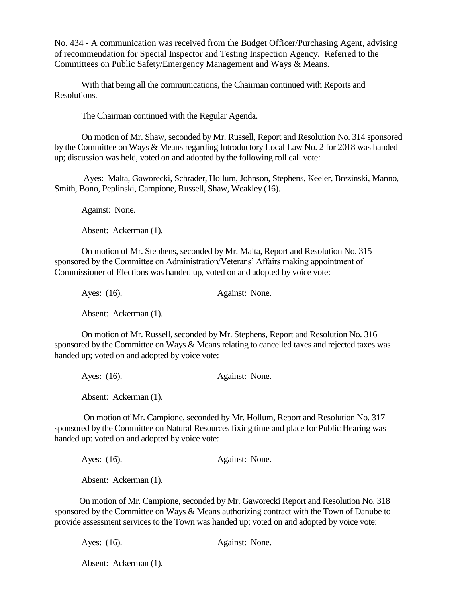No. 434 - A communication was received from the Budget Officer/Purchasing Agent, advising of recommendation for Special Inspector and Testing Inspection Agency. Referred to the Committees on Public Safety/Emergency Management and Ways & Means.

With that being all the communications, the Chairman continued with Reports and Resolutions.

The Chairman continued with the Regular Agenda.

On motion of Mr. Shaw, seconded by Mr. Russell, Report and Resolution No. 314 sponsored by the Committee on Ways & Means regarding Introductory Local Law No. 2 for 2018 was handed up; discussion was held, voted on and adopted by the following roll call vote:

Ayes: Malta, Gaworecki, Schrader, Hollum, Johnson, Stephens, Keeler, Brezinski, Manno, Smith, Bono, Peplinski, Campione, Russell, Shaw, Weakley (16).

Against: None.

Absent: Ackerman (1).

On motion of Mr. Stephens, seconded by Mr. Malta, Report and Resolution No. 315 sponsored by the Committee on Administration/Veterans' Affairs making appointment of Commissioner of Elections was handed up, voted on and adopted by voice vote:

Ayes: (16). Against: None. Absent: Ackerman (1).

On motion of Mr. Russell, seconded by Mr. Stephens, Report and Resolution No. 316 sponsored by the Committee on Ways & Means relating to cancelled taxes and rejected taxes was handed up; voted on and adopted by voice vote:

Ayes: (16). Against: None.

Absent: Ackerman (1).

On motion of Mr. Campione, seconded by Mr. Hollum, Report and Resolution No. 317 sponsored by the Committee on Natural Resources fixing time and place for Public Hearing was handed up: voted on and adopted by voice vote:

Ayes: (16). Against: None.

Absent: Ackerman (1).

 On motion of Mr. Campione, seconded by Mr. Gaworecki Report and Resolution No. 318 sponsored by the Committee on Ways & Means authorizing contract with the Town of Danube to provide assessment services to the Town was handed up; voted on and adopted by voice vote:

Ayes: (16). Against: None.

Absent: Ackerman (1).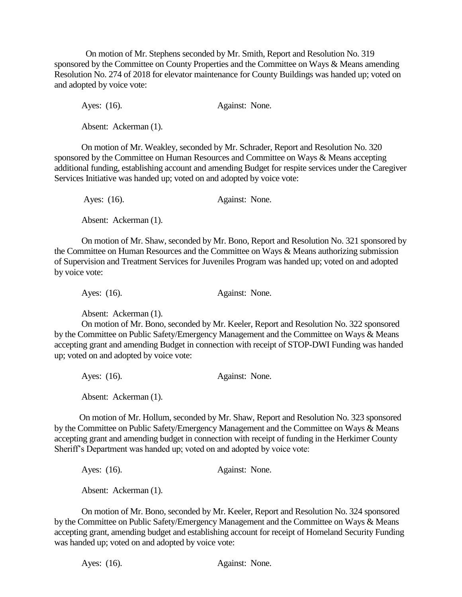On motion of Mr. Stephens seconded by Mr. Smith, Report and Resolution No. 319 sponsored by the Committee on County Properties and the Committee on Ways & Means amending Resolution No. 274 of 2018 for elevator maintenance for County Buildings was handed up; voted on and adopted by voice vote:

Ayes: (16). Against: None.

Absent: Ackerman (1).

 On motion of Mr. Weakley, seconded by Mr. Schrader, Report and Resolution No. 320 sponsored by the Committee on Human Resources and Committee on Ways & Means accepting additional funding, establishing account and amending Budget for respite services under the Caregiver Services Initiative was handed up; voted on and adopted by voice vote:

Ayes: (16). Against: None. Absent: Ackerman (1).

On motion of Mr. Shaw, seconded by Mr. Bono, Report and Resolution No. 321 sponsored by the Committee on Human Resources and the Committee on Ways & Means authorizing submission of Supervision and Treatment Services for Juveniles Program was handed up; voted on and adopted by voice vote:

Ayes: (16). Against: None.

Absent: Ackerman (1).

On motion of Mr. Bono, seconded by Mr. Keeler, Report and Resolution No. 322 sponsored by the Committee on Public Safety/Emergency Management and the Committee on Ways & Means accepting grant and amending Budget in connection with receipt of STOP-DWI Funding was handed up; voted on and adopted by voice vote:

Ayes: (16). Against: None.

Absent: Ackerman (1).

 On motion of Mr. Hollum, seconded by Mr. Shaw, Report and Resolution No. 323 sponsored by the Committee on Public Safety/Emergency Management and the Committee on Ways & Means accepting grant and amending budget in connection with receipt of funding in the Herkimer County Sheriff's Department was handed up; voted on and adopted by voice vote:

Ayes: (16). Against: None.

Absent: Ackerman (1).

On motion of Mr. Bono, seconded by Mr. Keeler, Report and Resolution No. 324 sponsored by the Committee on Public Safety/Emergency Management and the Committee on Ways & Means accepting grant, amending budget and establishing account for receipt of Homeland Security Funding was handed up; voted on and adopted by voice vote:

Ayes: (16). Against: None.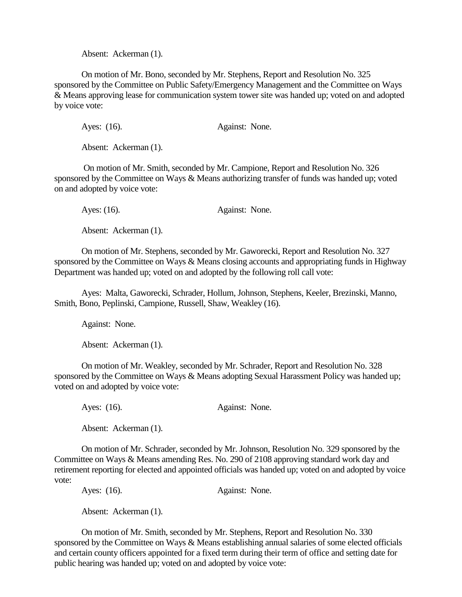Absent: Ackerman (1).

On motion of Mr. Bono, seconded by Mr. Stephens, Report and Resolution No. 325 sponsored by the Committee on Public Safety/Emergency Management and the Committee on Ways & Means approving lease for communication system tower site was handed up; voted on and adopted by voice vote:

Ayes: (16). Against: None.

Absent: Ackerman (1).

On motion of Mr. Smith, seconded by Mr. Campione, Report and Resolution No. 326 sponsored by the Committee on Ways & Means authorizing transfer of funds was handed up; voted on and adopted by voice vote:

Ayes: (16). Against: None.

Absent: Ackerman (1).

On motion of Mr. Stephens, seconded by Mr. Gaworecki, Report and Resolution No. 327 sponsored by the Committee on Ways & Means closing accounts and appropriating funds in Highway Department was handed up; voted on and adopted by the following roll call vote:

Ayes: Malta, Gaworecki, Schrader, Hollum, Johnson, Stephens, Keeler, Brezinski, Manno, Smith, Bono, Peplinski, Campione, Russell, Shaw, Weakley (16).

Against: None.

Absent: Ackerman (1).

On motion of Mr. Weakley, seconded by Mr. Schrader, Report and Resolution No. 328 sponsored by the Committee on Ways & Means adopting Sexual Harassment Policy was handed up; voted on and adopted by voice vote:

Ayes: (16). Against: None.

Absent: Ackerman (1).

On motion of Mr. Schrader, seconded by Mr. Johnson, Resolution No. 329 sponsored by the Committee on Ways & Means amending Res. No. 290 of 2108 approving standard work day and retirement reporting for elected and appointed officials was handed up; voted on and adopted by voice vote:

Ayes: (16). Against: None.

Absent: Ackerman (1).

On motion of Mr. Smith, seconded by Mr. Stephens, Report and Resolution No. 330 sponsored by the Committee on Ways & Means establishing annual salaries of some elected officials and certain county officers appointed for a fixed term during their term of office and setting date for public hearing was handed up; voted on and adopted by voice vote: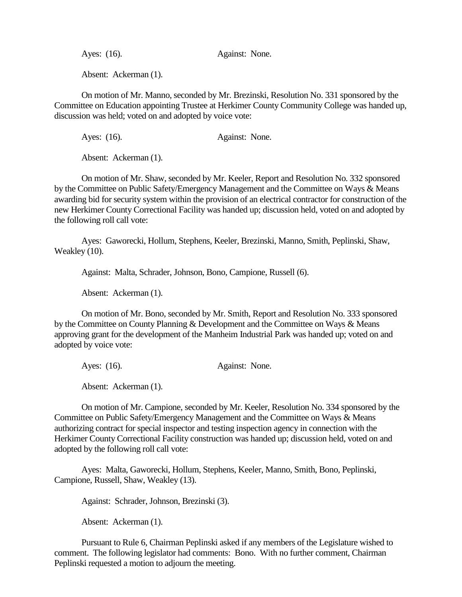Ayes: (16). Against: None.

Absent: Ackerman (1).

On motion of Mr. Manno, seconded by Mr. Brezinski, Resolution No. 331 sponsored by the Committee on Education appointing Trustee at Herkimer County Community College was handed up, discussion was held; voted on and adopted by voice vote:

Ayes: (16). Against: None.

Absent: Ackerman (1).

On motion of Mr. Shaw, seconded by Mr. Keeler, Report and Resolution No. 332 sponsored by the Committee on Public Safety/Emergency Management and the Committee on Ways & Means awarding bid for security system within the provision of an electrical contractor for construction of the new Herkimer County Correctional Facility was handed up; discussion held, voted on and adopted by the following roll call vote:

Ayes: Gaworecki, Hollum, Stephens, Keeler, Brezinski, Manno, Smith, Peplinski, Shaw, Weakley (10).

Against: Malta, Schrader, Johnson, Bono, Campione, Russell (6).

Absent: Ackerman (1).

On motion of Mr. Bono, seconded by Mr. Smith, Report and Resolution No. 333 sponsored by the Committee on County Planning & Development and the Committee on Ways & Means approving grant for the development of the Manheim Industrial Park was handed up; voted on and adopted by voice vote:

Ayes: (16). Against: None.

Absent: Ackerman (1).

On motion of Mr. Campione, seconded by Mr. Keeler, Resolution No. 334 sponsored by the Committee on Public Safety/Emergency Management and the Committee on Ways & Means authorizing contract for special inspector and testing inspection agency in connection with the Herkimer County Correctional Facility construction was handed up; discussion held, voted on and adopted by the following roll call vote:

Ayes: Malta, Gaworecki, Hollum, Stephens, Keeler, Manno, Smith, Bono, Peplinski, Campione, Russell, Shaw, Weakley (13).

Against: Schrader, Johnson, Brezinski (3).

Absent: Ackerman (1).

Pursuant to Rule 6, Chairman Peplinski asked if any members of the Legislature wished to comment. The following legislator had comments: Bono. With no further comment, Chairman Peplinski requested a motion to adjourn the meeting.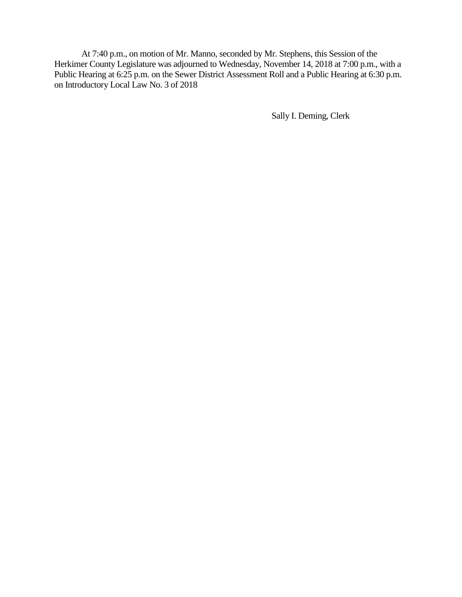At 7:40 p.m., on motion of Mr. Manno, seconded by Mr. Stephens, this Session of the Herkimer County Legislature was adjourned to Wednesday, November 14, 2018 at 7:00 p.m., with a Public Hearing at 6:25 p.m. on the Sewer District Assessment Roll and a Public Hearing at 6:30 p.m. on Introductory Local Law No. 3 of 2018

Sally I. Deming, Clerk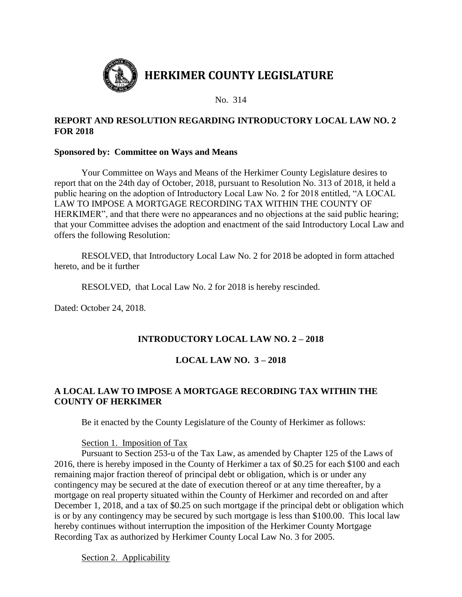

### **REPORT AND RESOLUTION REGARDING INTRODUCTORY LOCAL LAW NO. 2 FOR 2018**

#### **Sponsored by: Committee on Ways and Means**

Your Committee on Ways and Means of the Herkimer County Legislature desires to report that on the 24th day of October, 2018, pursuant to Resolution No. 313 of 2018, it held a public hearing on the adoption of Introductory Local Law No. 2 for 2018 entitled, "A LOCAL LAW TO IMPOSE A MORTGAGE RECORDING TAX WITHIN THE COUNTY OF HERKIMER", and that there were no appearances and no objections at the said public hearing; that your Committee advises the adoption and enactment of the said Introductory Local Law and offers the following Resolution:

RESOLVED, that Introductory Local Law No. 2 for 2018 be adopted in form attached hereto, and be it further

RESOLVED, that Local Law No. 2 for 2018 is hereby rescinded.

Dated: October 24, 2018.

## **INTRODUCTORY LOCAL LAW NO. 2 – 2018**

# **LOCAL LAW NO. 3 – 2018**

# **A LOCAL LAW TO IMPOSE A MORTGAGE RECORDING TAX WITHIN THE COUNTY OF HERKIMER**

Be it enacted by the County Legislature of the County of Herkimer as follows:

#### Section 1. Imposition of Tax

Pursuant to Section 253-u of the Tax Law, as amended by Chapter 125 of the Laws of 2016, there is hereby imposed in the County of Herkimer a tax of \$0.25 for each \$100 and each remaining major fraction thereof of principal debt or obligation, which is or under any contingency may be secured at the date of execution thereof or at any time thereafter, by a mortgage on real property situated within the County of Herkimer and recorded on and after December 1, 2018, and a tax of \$0.25 on such mortgage if the principal debt or obligation which is or by any contingency may be secured by such mortgage is less than \$100.00. This local law hereby continues without interruption the imposition of the Herkimer County Mortgage Recording Tax as authorized by Herkimer County Local Law No. 3 for 2005.

Section 2. Applicability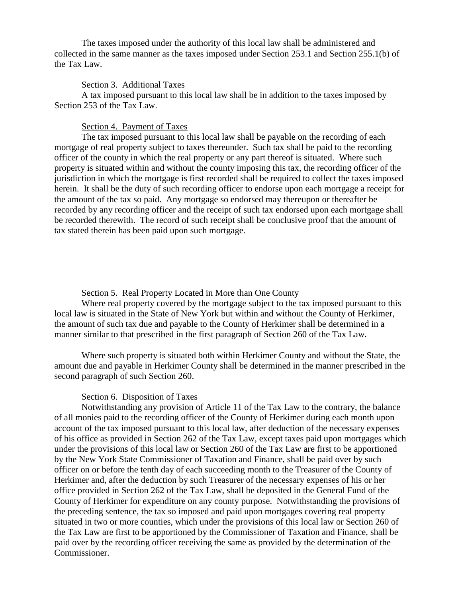The taxes imposed under the authority of this local law shall be administered and collected in the same manner as the taxes imposed under Section 253.1 and Section 255.1(b) of the Tax Law.

#### Section 3. Additional Taxes

A tax imposed pursuant to this local law shall be in addition to the taxes imposed by Section 253 of the Tax Law.

#### Section 4. Payment of Taxes

The tax imposed pursuant to this local law shall be payable on the recording of each mortgage of real property subject to taxes thereunder. Such tax shall be paid to the recording officer of the county in which the real property or any part thereof is situated. Where such property is situated within and without the county imposing this tax, the recording officer of the jurisdiction in which the mortgage is first recorded shall be required to collect the taxes imposed herein. It shall be the duty of such recording officer to endorse upon each mortgage a receipt for the amount of the tax so paid. Any mortgage so endorsed may thereupon or thereafter be recorded by any recording officer and the receipt of such tax endorsed upon each mortgage shall be recorded therewith. The record of such receipt shall be conclusive proof that the amount of tax stated therein has been paid upon such mortgage.

#### Section 5. Real Property Located in More than One County

Where real property covered by the mortgage subject to the tax imposed pursuant to this local law is situated in the State of New York but within and without the County of Herkimer, the amount of such tax due and payable to the County of Herkimer shall be determined in a manner similar to that prescribed in the first paragraph of Section 260 of the Tax Law.

Where such property is situated both within Herkimer County and without the State, the amount due and payable in Herkimer County shall be determined in the manner prescribed in the second paragraph of such Section 260.

#### Section 6. Disposition of Taxes

Notwithstanding any provision of Article 11 of the Tax Law to the contrary, the balance of all monies paid to the recording officer of the County of Herkimer during each month upon account of the tax imposed pursuant to this local law, after deduction of the necessary expenses of his office as provided in Section 262 of the Tax Law, except taxes paid upon mortgages which under the provisions of this local law or Section 260 of the Tax Law are first to be apportioned by the New York State Commissioner of Taxation and Finance, shall be paid over by such officer on or before the tenth day of each succeeding month to the Treasurer of the County of Herkimer and, after the deduction by such Treasurer of the necessary expenses of his or her office provided in Section 262 of the Tax Law, shall be deposited in the General Fund of the County of Herkimer for expenditure on any county purpose. Notwithstanding the provisions of the preceding sentence, the tax so imposed and paid upon mortgages covering real property situated in two or more counties, which under the provisions of this local law or Section 260 of the Tax Law are first to be apportioned by the Commissioner of Taxation and Finance, shall be paid over by the recording officer receiving the same as provided by the determination of the Commissioner.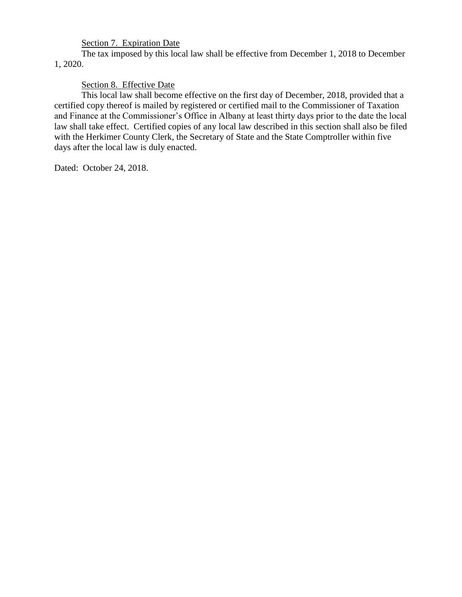# Section 7. Expiration Date

The tax imposed by this local law shall be effective from December 1, 2018 to December 1, 2020.

Section 8. Effective Date

This local law shall become effective on the first day of December, 2018, provided that a certified copy thereof is mailed by registered or certified mail to the Commissioner of Taxation and Finance at the Commissioner's Office in Albany at least thirty days prior to the date the local law shall take effect. Certified copies of any local law described in this section shall also be filed with the Herkimer County Clerk, the Secretary of State and the State Comptroller within five days after the local law is duly enacted.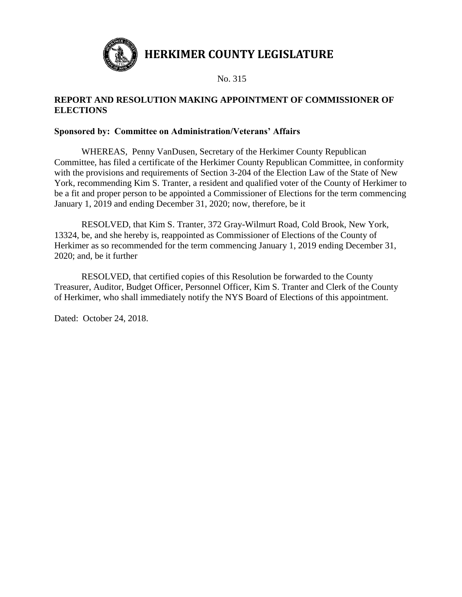

**HERKIMER COUNTY LEGISLATURE**

No. 315

## **REPORT AND RESOLUTION MAKING APPOINTMENT OF COMMISSIONER OF ELECTIONS**

## **Sponsored by: Committee on Administration/Veterans' Affairs**

WHEREAS, Penny VanDusen, Secretary of the Herkimer County Republican Committee, has filed a certificate of the Herkimer County Republican Committee, in conformity with the provisions and requirements of Section 3-204 of the Election Law of the State of New York, recommending Kim S. Tranter, a resident and qualified voter of the County of Herkimer to be a fit and proper person to be appointed a Commissioner of Elections for the term commencing January 1, 2019 and ending December 31, 2020; now, therefore, be it

RESOLVED, that Kim S. Tranter, 372 Gray-Wilmurt Road, Cold Brook, New York, 13324, be, and she hereby is, reappointed as Commissioner of Elections of the County of Herkimer as so recommended for the term commencing January 1, 2019 ending December 31, 2020; and, be it further

RESOLVED, that certified copies of this Resolution be forwarded to the County Treasurer, Auditor, Budget Officer, Personnel Officer, Kim S. Tranter and Clerk of the County of Herkimer, who shall immediately notify the NYS Board of Elections of this appointment.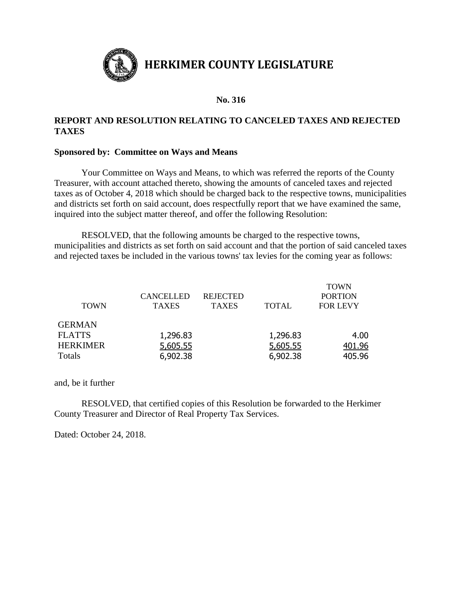

## **REPORT AND RESOLUTION RELATING TO CANCELED TAXES AND REJECTED TAXES**

#### **Sponsored by: Committee on Ways and Means**

Your Committee on Ways and Means, to which was referred the reports of the County Treasurer, with account attached thereto, showing the amounts of canceled taxes and rejected taxes as of October 4, 2018 which should be charged back to the respective towns, municipalities and districts set forth on said account, does respectfully report that we have examined the same, inquired into the subject matter thereof, and offer the following Resolution:

RESOLVED, that the following amounts be charged to the respective towns, municipalities and districts as set forth on said account and that the portion of said canceled taxes and rejected taxes be included in the various towns' tax levies for the coming year as follows:

| <b>CANCELLED</b><br><b>TAXES</b> | <b>REJECTED</b><br><b>TAXES</b> | <b>TOTAL</b> | <b>TOWN</b><br><b>PORTION</b><br><b>FOR LEVY</b> |
|----------------------------------|---------------------------------|--------------|--------------------------------------------------|
|                                  |                                 |              |                                                  |
| 1,296.83                         |                                 | 1,296.83     | 4.00                                             |
| 5,605.55                         |                                 | 5,605.55     | 401.96                                           |
| 6,902.38                         |                                 | 6,902.38     | 405.96                                           |
|                                  |                                 |              |                                                  |

and, be it further

RESOLVED, that certified copies of this Resolution be forwarded to the Herkimer County Treasurer and Director of Real Property Tax Services.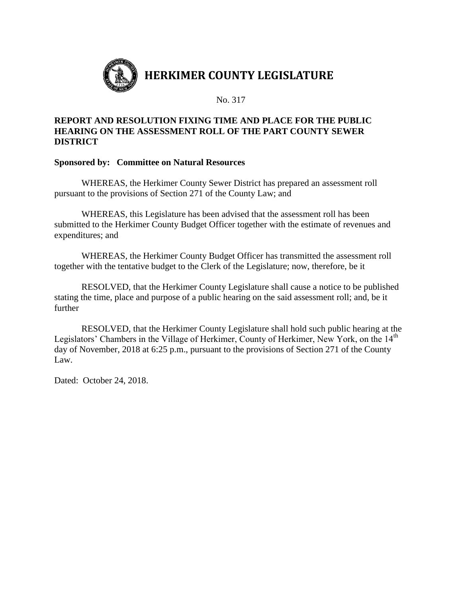

#### **REPORT AND RESOLUTION FIXING TIME AND PLACE FOR THE PUBLIC HEARING ON THE ASSESSMENT ROLL OF THE PART COUNTY SEWER DISTRICT**

#### **Sponsored by: Committee on Natural Resources**

WHEREAS, the Herkimer County Sewer District has prepared an assessment roll pursuant to the provisions of Section 271 of the County Law; and

WHEREAS, this Legislature has been advised that the assessment roll has been submitted to the Herkimer County Budget Officer together with the estimate of revenues and expenditures; and

WHEREAS, the Herkimer County Budget Officer has transmitted the assessment roll together with the tentative budget to the Clerk of the Legislature; now, therefore, be it

RESOLVED, that the Herkimer County Legislature shall cause a notice to be published stating the time, place and purpose of a public hearing on the said assessment roll; and, be it further

RESOLVED, that the Herkimer County Legislature shall hold such public hearing at the Legislators' Chambers in the Village of Herkimer, County of Herkimer, New York, on the 14<sup>th</sup> day of November, 2018 at 6:25 p.m., pursuant to the provisions of Section 271 of the County Law.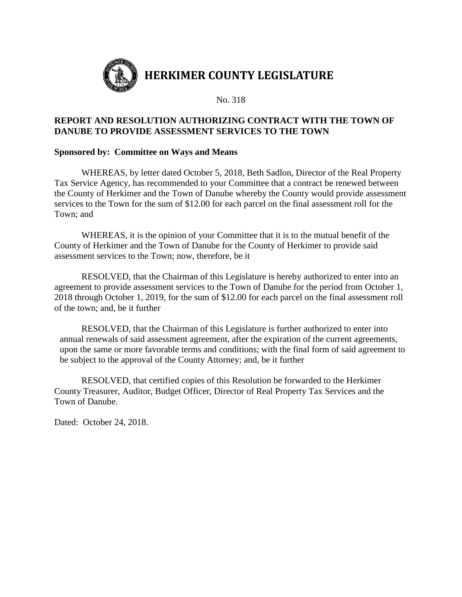

#### **REPORT AND RESOLUTION AUTHORIZING CONTRACT WITH THE TOWN OF DANUBE TO PROVIDE ASSESSMENT SERVICES TO THE TOWN**

#### **Sponsored by: Committee on Ways and Means**

WHEREAS, by letter dated October 5, 2018, Beth Sadlon, Director of the Real Property Tax Service Agency, has recommended to your Committee that a contract be renewed between the County of Herkimer and the Town of Danube whereby the County would provide assessment services to the Town for the sum of \$12.00 for each parcel on the final assessment roll for the Town; and

WHEREAS, it is the opinion of your Committee that it is to the mutual benefit of the County of Herkimer and the Town of Danube for the County of Herkimer to provide said assessment services to the Town; now, therefore, be it

RESOLVED, that the Chairman of this Legislature is hereby authorized to enter into an agreement to provide assessment services to the Town of Danube for the period from October 1, 2018 through October 1, 2019, for the sum of \$12.00 for each parcel on the final assessment roll of the town; and, be it further

RESOLVED, that the Chairman of this Legislature is further authorized to enter into annual renewals of said assessment agreement, after the expiration of the current agreements, upon the same or more favorable terms and conditions; with the final form of said agreement to be subject to the approval of the County Attorney; and, be it further

 RESOLVED, that certified copies of this Resolution be forwarded to the Herkimer County Treasurer, Auditor, Budget Officer, Director of Real Property Tax Services and the Town of Danube.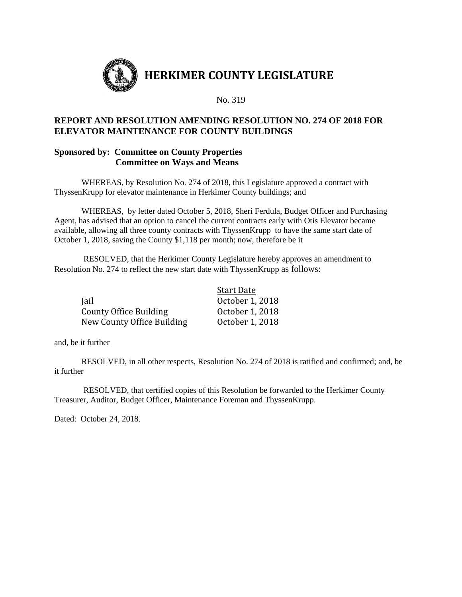

#### **REPORT AND RESOLUTION AMENDING RESOLUTION NO. 274 OF 2018 FOR ELEVATOR MAINTENANCE FOR COUNTY BUILDINGS**

#### **Sponsored by: Committee on County Properties Committee on Ways and Means**

WHEREAS, by Resolution No. 274 of 2018, this Legislature approved a contract with ThyssenKrupp for elevator maintenance in Herkimer County buildings; and

WHEREAS, by letter dated October 5, 2018, Sheri Ferdula, Budget Officer and Purchasing Agent, has advised that an option to cancel the current contracts early with Otis Elevator became available, allowing all three county contracts with ThyssenKrupp to have the same start date of October 1, 2018, saving the County \$1,118 per month; now, therefore be it

RESOLVED, that the Herkimer County Legislature hereby approves an amendment to Resolution No. 274 to reflect the new start date with ThyssenKrupp as follows:

|                            | <b>Start Date</b> |
|----------------------------|-------------------|
| Jail                       | October 1, 2018   |
| County Office Building     | October 1, 2018   |
| New County Office Building | October 1, 2018   |

and, be it further

RESOLVED, in all other respects, Resolution No. 274 of 2018 is ratified and confirmed; and, be it further

RESOLVED, that certified copies of this Resolution be forwarded to the Herkimer County Treasurer, Auditor, Budget Officer, Maintenance Foreman and ThyssenKrupp.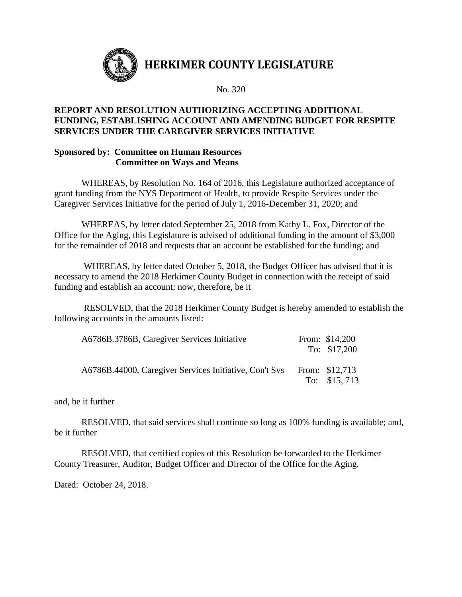

## **REPORT AND RESOLUTION AUTHORIZING ACCEPTING ADDITIONAL FUNDING, ESTABLISHING ACCOUNT AND AMENDING BUDGET FOR RESPITE SERVICES UNDER THE CAREGIVER SERVICES INITIATIVE**

## **Sponsored by: Committee on Human Resources Committee on Ways and Means**

WHEREAS, by Resolution No. 164 of 2016, this Legislature authorized acceptance of grant funding from the NYS Department of Health, to provide Respite Services under the Caregiver Services Initiative for the period of July 1, 2016-December 31, 2020; and

WHEREAS, by letter dated September 25, 2018 from Kathy L. Fox, Director of the Office for the Aging, this Legislature is advised of additional funding in the amount of \$3,000 for the remainder of 2018 and requests that an account be established for the funding; and

WHEREAS, by letter dated October 5, 2018, the Budget Officer has advised that it is necessary to amend the 2018 Herkimer County Budget in connection with the receipt of said funding and establish an account; now, therefore, be it

RESOLVED, that the 2018 Herkimer County Budget is hereby amended to establish the following accounts in the amounts listed:

| A6786B.3786B, Caregiver Services Initiative            | From: \$14,200<br>To: \$17,200   |
|--------------------------------------------------------|----------------------------------|
| A6786B.44000, Caregiver Services Initiative, Con't Svs | From: \$12,713<br>To: $$15, 713$ |

and, be it further

RESOLVED, that said services shall continue so long as 100% funding is available; and, be it further

RESOLVED, that certified copies of this Resolution be forwarded to the Herkimer County Treasurer, Auditor, Budget Officer and Director of the Office for the Aging.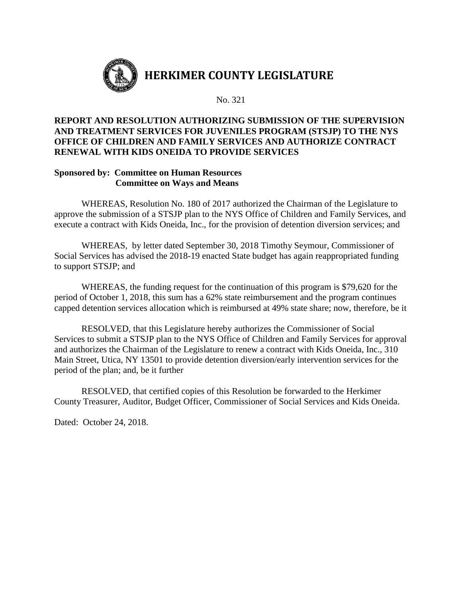

## **REPORT AND RESOLUTION AUTHORIZING SUBMISSION OF THE SUPERVISION AND TREATMENT SERVICES FOR JUVENILES PROGRAM (STSJP) TO THE NYS OFFICE OF CHILDREN AND FAMILY SERVICES AND AUTHORIZE CONTRACT RENEWAL WITH KIDS ONEIDA TO PROVIDE SERVICES**

#### **Sponsored by: Committee on Human Resources Committee on Ways and Means**

WHEREAS, Resolution No. 180 of 2017 authorized the Chairman of the Legislature to approve the submission of a STSJP plan to the NYS Office of Children and Family Services, and execute a contract with Kids Oneida, Inc., for the provision of detention diversion services; and

WHEREAS, by letter dated September 30, 2018 Timothy Seymour, Commissioner of Social Services has advised the 2018-19 enacted State budget has again reappropriated funding to support STSJP; and

WHEREAS, the funding request for the continuation of this program is \$79,620 for the period of October 1, 2018, this sum has a 62% state reimbursement and the program continues capped detention services allocation which is reimbursed at 49% state share; now, therefore, be it

RESOLVED, that this Legislature hereby authorizes the Commissioner of Social Services to submit a STSJP plan to the NYS Office of Children and Family Services for approval and authorizes the Chairman of the Legislature to renew a contract with Kids Oneida, Inc., 310 Main Street, Utica, NY 13501 to provide detention diversion/early intervention services for the period of the plan; and, be it further

RESOLVED, that certified copies of this Resolution be forwarded to the Herkimer County Treasurer, Auditor, Budget Officer, Commissioner of Social Services and Kids Oneida.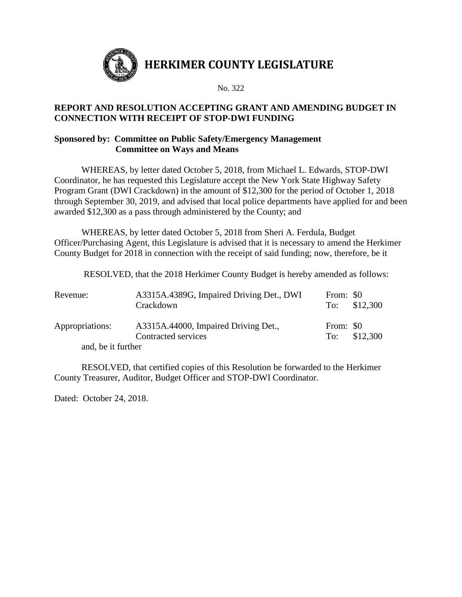

### **REPORT AND RESOLUTION ACCEPTING GRANT AND AMENDING BUDGET IN CONNECTION WITH RECEIPT OF STOP-DWI FUNDING**

#### **Sponsored by: Committee on Public Safety/Emergency Management Committee on Ways and Means**

WHEREAS, by letter dated October 5, 2018, from Michael L. Edwards, STOP-DWI Coordinator, he has requested this Legislature accept the New York State Highway Safety Program Grant (DWI Crackdown) in the amount of \$12,300 for the period of October 1, 2018 through September 30, 2019, and advised that local police departments have applied for and been awarded \$12,300 as a pass through administered by the County; and

WHEREAS, by letter dated October 5, 2018 from Sheri A. Ferdula, Budget Officer/Purchasing Agent, this Legislature is advised that it is necessary to amend the Herkimer County Budget for 2018 in connection with the receipt of said funding; now, therefore, be it

RESOLVED, that the 2018 Herkimer County Budget is hereby amended as follows:

| Revenue:           | A3315A.4389G, Impaired Driving Det., DWI<br>Crackdown       | From: \$0 | To: $$12,300$ |
|--------------------|-------------------------------------------------------------|-----------|---------------|
| Appropriations:    | A3315A.44000, Impaired Driving Det.,<br>Contracted services | From: \$0 | To: $$12,300$ |
| and, be it further |                                                             |           |               |

RESOLVED, that certified copies of this Resolution be forwarded to the Herkimer County Treasurer, Auditor, Budget Officer and STOP-DWI Coordinator.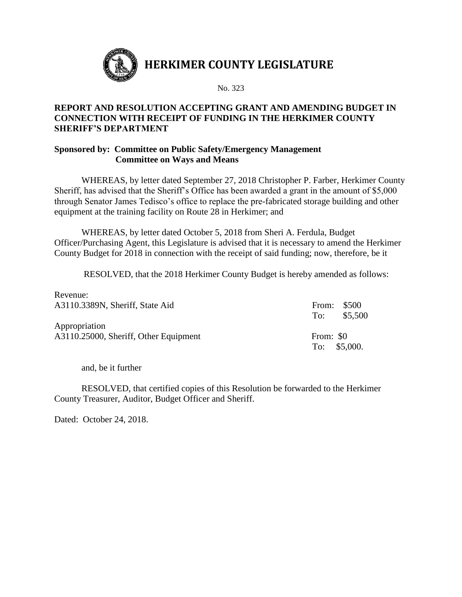

## **REPORT AND RESOLUTION ACCEPTING GRANT AND AMENDING BUDGET IN CONNECTION WITH RECEIPT OF FUNDING IN THE HERKIMER COUNTY SHERIFF'S DEPARTMENT**

## **Sponsored by: Committee on Public Safety/Emergency Management Committee on Ways and Means**

WHEREAS, by letter dated September 27, 2018 Christopher P. Farber, Herkimer County Sheriff, has advised that the Sheriff's Office has been awarded a grant in the amount of \$5,000 through Senator James Tedisco's office to replace the pre-fabricated storage building and other equipment at the training facility on Route 28 in Herkimer; and

WHEREAS, by letter dated October 5, 2018 from Sheri A. Ferdula, Budget Officer/Purchasing Agent, this Legislature is advised that it is necessary to amend the Herkimer County Budget for 2018 in connection with the receipt of said funding; now, therefore, be it

RESOLVED, that the 2018 Herkimer County Budget is hereby amended as follows:

| Revenue:                              | From: \$500   |
|---------------------------------------|---------------|
| A3110.3389N, Sheriff, State Aid       | $To:$ \$5,500 |
| Appropriation                         | From: \$0     |
| A3110.25000, Sheriff, Other Equipment | To: $$5,000.$ |

and, be it further

RESOLVED, that certified copies of this Resolution be forwarded to the Herkimer County Treasurer, Auditor, Budget Officer and Sheriff.

Dated: October 24, 2018.

Revenue: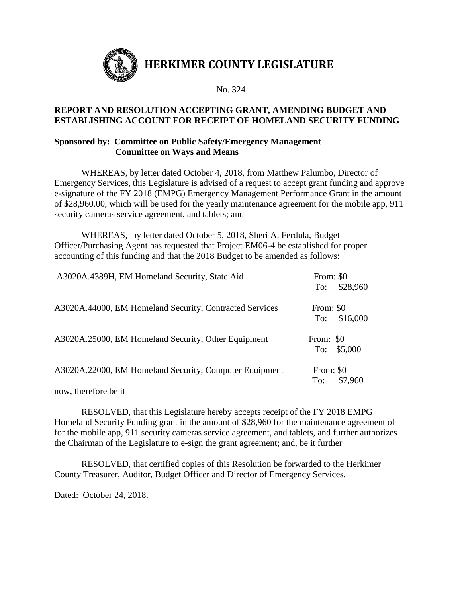

## **REPORT AND RESOLUTION ACCEPTING GRANT, AMENDING BUDGET AND ESTABLISHING ACCOUNT FOR RECEIPT OF HOMELAND SECURITY FUNDING**

#### **Sponsored by: Committee on Public Safety/Emergency Management Committee on Ways and Means**

WHEREAS, by letter dated October 4, 2018, from Matthew Palumbo, Director of Emergency Services, this Legislature is advised of a request to accept grant funding and approve e-signature of the FY 2018 (EMPG) Emergency Management Performance Grant in the amount of \$28,960.00, which will be used for the yearly maintenance agreement for the mobile app, 911 security cameras service agreement, and tablets; and

WHEREAS, by letter dated October 5, 2018, Sheri A. Ferdula, Budget Officer/Purchasing Agent has requested that Project EM06-4 be established for proper accounting of this funding and that the 2018 Budget to be amended as follows:

| A3020A.4389H, EM Homeland Security, State Aid                                                                 | From: \$0<br>\$28,960<br>To: |
|---------------------------------------------------------------------------------------------------------------|------------------------------|
| A3020A.44000, EM Homeland Security, Contracted Services                                                       | From: \$0<br>\$16,000<br>To: |
| A3020A.25000, EM Homeland Security, Other Equipment                                                           | From: \$0<br>To: $$5,000$    |
| A3020A.22000, EM Homeland Security, Computer Equipment<br>$\mathbf{1}$ $\mathbf{1}$ $\mathbf{1}$ $\mathbf{1}$ | From: \$0<br>\$7,960<br>To:  |

now, therefore be it

RESOLVED, that this Legislature hereby accepts receipt of the FY 2018 EMPG Homeland Security Funding grant in the amount of \$28,960 for the maintenance agreement of for the mobile app, 911 security cameras service agreement, and tablets, and further authorizes the Chairman of the Legislature to e-sign the grant agreement; and, be it further

RESOLVED, that certified copies of this Resolution be forwarded to the Herkimer County Treasurer, Auditor, Budget Officer and Director of Emergency Services.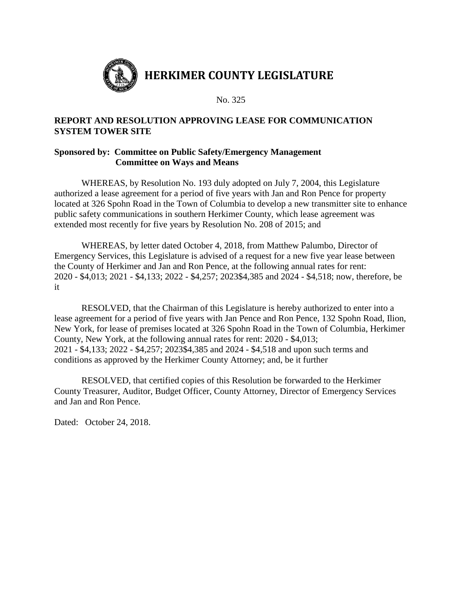

## **REPORT AND RESOLUTION APPROVING LEASE FOR COMMUNICATION SYSTEM TOWER SITE**

## **Sponsored by: Committee on Public Safety/Emergency Management Committee on Ways and Means**

WHEREAS, by Resolution No. 193 duly adopted on July 7, 2004, this Legislature authorized a lease agreement for a period of five years with Jan and Ron Pence for property located at 326 Spohn Road in the Town of Columbia to develop a new transmitter site to enhance public safety communications in southern Herkimer County, which lease agreement was extended most recently for five years by Resolution No. 208 of 2015; and

WHEREAS, by letter dated October 4, 2018, from Matthew Palumbo, Director of Emergency Services, this Legislature is advised of a request for a new five year lease between the County of Herkimer and Jan and Ron Pence, at the following annual rates for rent: 2020 - \$4,013; 2021 - \$4,133; 2022 - \$4,257; 2023\$4,385 and 2024 - \$4,518; now, therefore, be it

RESOLVED, that the Chairman of this Legislature is hereby authorized to enter into a lease agreement for a period of five years with Jan Pence and Ron Pence, 132 Spohn Road, Ilion, New York, for lease of premises located at 326 Spohn Road in the Town of Columbia, Herkimer County, New York, at the following annual rates for rent: 2020 - \$4,013; 2021 - \$4,133; 2022 - \$4,257; 2023\$4,385 and 2024 - \$4,518 and upon such terms and conditions as approved by the Herkimer County Attorney; and, be it further

RESOLVED, that certified copies of this Resolution be forwarded to the Herkimer County Treasurer, Auditor, Budget Officer, County Attorney, Director of Emergency Services and Jan and Ron Pence.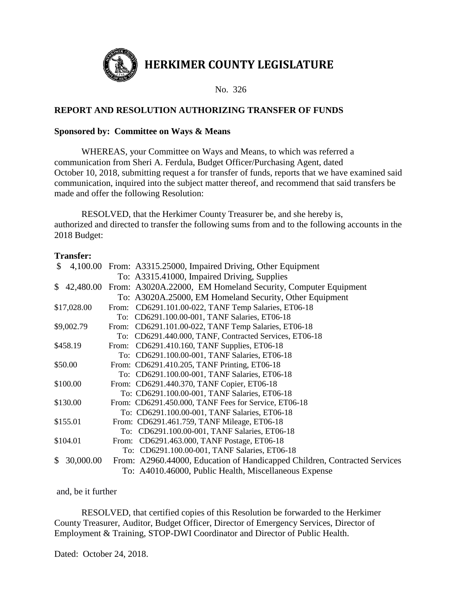

## **REPORT AND RESOLUTION AUTHORIZING TRANSFER OF FUNDS**

#### **Sponsored by: Committee on Ways & Means**

WHEREAS, your Committee on Ways and Means, to which was referred a communication from Sheri A. Ferdula, Budget Officer/Purchasing Agent, dated October 10, 2018, submitting request a for transfer of funds, reports that we have examined said communication, inquired into the subject matter thereof, and recommend that said transfers be made and offer the following Resolution:

RESOLVED, that the Herkimer County Treasurer be, and she hereby is, authorized and directed to transfer the following sums from and to the following accounts in the 2018 Budget:

#### **Transfer:**

| $\mathbb{S}$ |             | 4,100.00 From: A3315.25000, Impaired Driving, Other Equipment             |  |
|--------------|-------------|---------------------------------------------------------------------------|--|
|              |             | To: A3315.41000, Impaired Driving, Supplies                               |  |
| S.           |             | 42,480.00 From: A3020A.22000, EM Homeland Security, Computer Equipment    |  |
|              |             | To: A3020A.25000, EM Homeland Security, Other Equipment                   |  |
|              | \$17,028.00 | From: CD6291.101.00-022, TANF Temp Salaries, ET06-18                      |  |
|              |             | To: CD6291.100.00-001, TANF Salaries, ET06-18                             |  |
|              | \$9,002.79  | From: CD6291.101.00-022, TANF Temp Salaries, ET06-18                      |  |
|              |             | To: CD6291.440.000, TANF, Contracted Services, ET06-18                    |  |
|              | \$458.19    | From: CD6291.410.160, TANF Supplies, ET06-18                              |  |
|              |             | To: CD6291.100.00-001, TANF Salaries, ET06-18                             |  |
|              | \$50.00     | From: CD6291.410.205, TANF Printing, ET06-18                              |  |
|              |             | To: CD6291.100.00-001, TANF Salaries, ET06-18                             |  |
|              | \$100.00    | From: CD6291.440.370, TANF Copier, ET06-18                                |  |
|              |             | To: CD6291.100.00-001, TANF Salaries, ET06-18                             |  |
|              | \$130.00    | From: CD6291.450.000, TANF Fees for Service, ET06-18                      |  |
|              |             | To: CD6291.100.00-001, TANF Salaries, ET06-18                             |  |
|              | \$155.01    | From: CD6291.461.759, TANF Mileage, ET06-18                               |  |
|              |             | To: CD6291.100.00-001, TANF Salaries, ET06-18                             |  |
|              | \$104.01    | From: CD6291.463.000, TANF Postage, ET06-18                               |  |
|              |             | To: CD6291.100.00-001, TANF Salaries, ET06-18                             |  |
| \$.          | 30,000.00   | From: A2960.44000, Education of Handicapped Children, Contracted Services |  |
|              |             | To: A4010.46000, Public Health, Miscellaneous Expense                     |  |

and, be it further

RESOLVED, that certified copies of this Resolution be forwarded to the Herkimer County Treasurer, Auditor, Budget Officer, Director of Emergency Services, Director of Employment & Training, STOP-DWI Coordinator and Director of Public Health.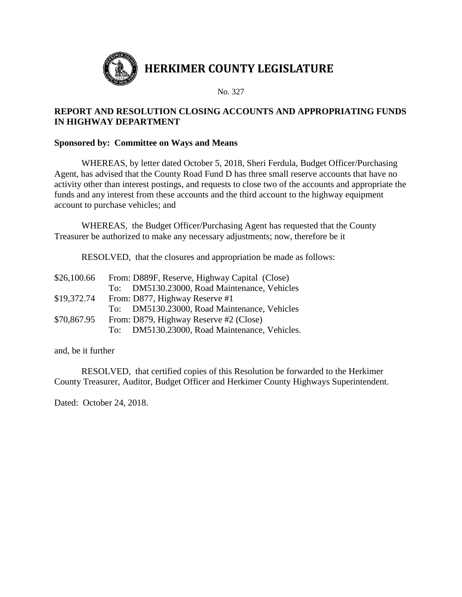

## **REPORT AND RESOLUTION CLOSING ACCOUNTS AND APPROPRIATING FUNDS IN HIGHWAY DEPARTMENT**

#### **Sponsored by: Committee on Ways and Means**

WHEREAS, by letter dated October 5, 2018, Sheri Ferdula, Budget Officer/Purchasing Agent, has advised that the County Road Fund D has three small reserve accounts that have no activity other than interest postings, and requests to close two of the accounts and appropriate the funds and any interest from these accounts and the third account to the highway equipment account to purchase vehicles; and

WHEREAS, the Budget Officer/Purchasing Agent has requested that the County Treasurer be authorized to make any necessary adjustments; now, therefore be it

RESOLVED, that the closures and appropriation be made as follows:

| \$26,100.66 | From: D889F, Reserve, Highway Capital (Close) |
|-------------|-----------------------------------------------|
|             | To: DM5130.23000, Road Maintenance, Vehicles  |
| \$19,372.74 | From: D877, Highway Reserve #1                |
|             | To: DM5130.23000, Road Maintenance, Vehicles  |
| \$70,867.95 | From: D879, Highway Reserve #2 (Close)        |
|             | To: DM5130.23000, Road Maintenance, Vehicles. |

and, be it further

RESOLVED, that certified copies of this Resolution be forwarded to the Herkimer County Treasurer, Auditor, Budget Officer and Herkimer County Highways Superintendent.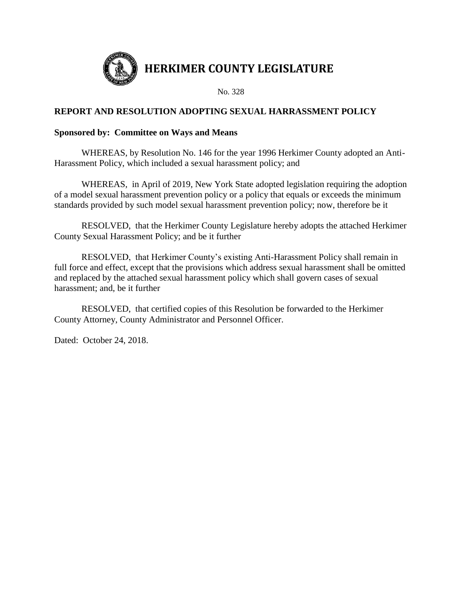

## **REPORT AND RESOLUTION ADOPTING SEXUAL HARRASSMENT POLICY**

#### **Sponsored by: Committee on Ways and Means**

WHEREAS, by Resolution No. 146 for the year 1996 Herkimer County adopted an Anti-Harassment Policy, which included a sexual harassment policy; and

WHEREAS, in April of 2019, New York State adopted legislation requiring the adoption of a model sexual harassment prevention policy or a policy that equals or exceeds the minimum standards provided by such model sexual harassment prevention policy; now, therefore be it

RESOLVED, that the Herkimer County Legislature hereby adopts the attached Herkimer County Sexual Harassment Policy; and be it further

RESOLVED, that Herkimer County's existing Anti-Harassment Policy shall remain in full force and effect, except that the provisions which address sexual harassment shall be omitted and replaced by the attached sexual harassment policy which shall govern cases of sexual harassment; and, be it further

RESOLVED, that certified copies of this Resolution be forwarded to the Herkimer County Attorney, County Administrator and Personnel Officer.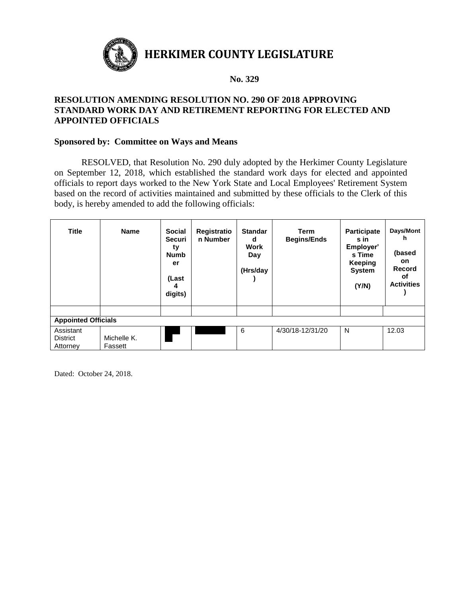

**HERKIMER COUNTY LEGISLATURE**

#### **No. 329**

## **RESOLUTION AMENDING RESOLUTION NO. 290 OF 2018 APPROVING STANDARD WORK DAY AND RETIREMENT REPORTING FOR ELECTED AND APPOINTED OFFICIALS**

#### **Sponsored by: Committee on Ways and Means**

RESOLVED, that Resolution No. 290 duly adopted by the Herkimer County Legislature on September 12, 2018, which established the standard work days for elected and appointed officials to report days worked to the New York State and Local Employees' Retirement System based on the record of activities maintained and submitted by these officials to the Clerk of this body, is hereby amended to add the following officials:

| <b>Title</b>                             | <b>Name</b>            | <b>Social</b><br>Securi<br>ty<br><b>Numb</b><br>er<br>(Last<br>4<br>digits) | Registratio<br>n Number | <b>Standar</b><br>d<br>Work<br>Day<br>(Hrs/day | <b>Term</b><br><b>Begins/Ends</b> | <b>Participate</b><br>s in<br>Employer'<br>s Time<br>Keeping<br><b>System</b><br>(Y/N) | Days/Mont<br>h<br>(based<br><b>on</b><br>Record<br>οf<br><b>Activities</b> |
|------------------------------------------|------------------------|-----------------------------------------------------------------------------|-------------------------|------------------------------------------------|-----------------------------------|----------------------------------------------------------------------------------------|----------------------------------------------------------------------------|
|                                          |                        |                                                                             |                         |                                                |                                   |                                                                                        |                                                                            |
| <b>Appointed Officials</b>               |                        |                                                                             |                         |                                                |                                   |                                                                                        |                                                                            |
| Assistant<br><b>District</b><br>Attorney | Michelle K.<br>Fassett |                                                                             |                         | 6                                              | 4/30/18-12/31/20                  | N                                                                                      | 12.03                                                                      |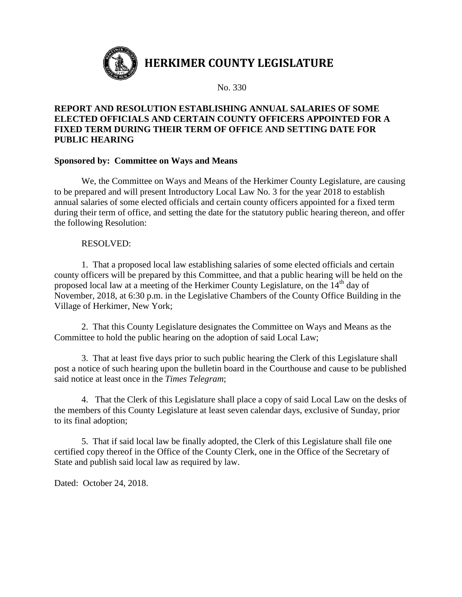

## **REPORT AND RESOLUTION ESTABLISHING ANNUAL SALARIES OF SOME ELECTED OFFICIALS AND CERTAIN COUNTY OFFICERS APPOINTED FOR A FIXED TERM DURING THEIR TERM OF OFFICE AND SETTING DATE FOR PUBLIC HEARING**

#### **Sponsored by: Committee on Ways and Means**

We, the Committee on Ways and Means of the Herkimer County Legislature, are causing to be prepared and will present Introductory Local Law No. 3 for the year 2018 to establish annual salaries of some elected officials and certain county officers appointed for a fixed term during their term of office, and setting the date for the statutory public hearing thereon, and offer the following Resolution:

#### RESOLVED:

1. That a proposed local law establishing salaries of some elected officials and certain county officers will be prepared by this Committee, and that a public hearing will be held on the proposed local law at a meeting of the Herkimer County Legislature, on the 14<sup>th</sup> day of November, 2018, at 6:30 p.m. in the Legislative Chambers of the County Office Building in the Village of Herkimer, New York;

2. That this County Legislature designates the Committee on Ways and Means as the Committee to hold the public hearing on the adoption of said Local Law;

3. That at least five days prior to such public hearing the Clerk of this Legislature shall post a notice of such hearing upon the bulletin board in the Courthouse and cause to be published said notice at least once in the *Times Telegram*;

4. That the Clerk of this Legislature shall place a copy of said Local Law on the desks of the members of this County Legislature at least seven calendar days, exclusive of Sunday, prior to its final adoption;

5. That if said local law be finally adopted, the Clerk of this Legislature shall file one certified copy thereof in the Office of the County Clerk, one in the Office of the Secretary of State and publish said local law as required by law.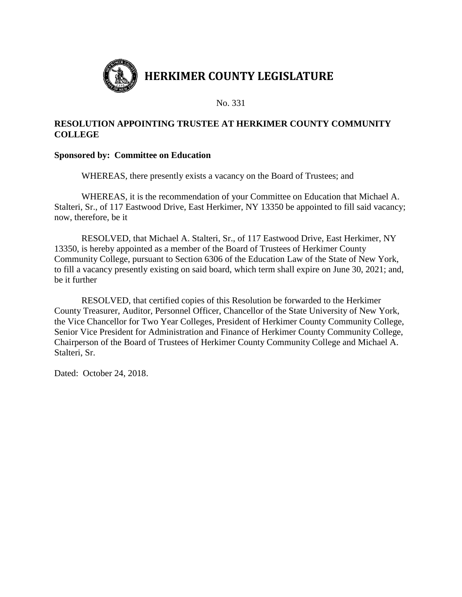

## **RESOLUTION APPOINTING TRUSTEE AT HERKIMER COUNTY COMMUNITY COLLEGE**

## **Sponsored by: Committee on Education**

WHEREAS, there presently exists a vacancy on the Board of Trustees; and

WHEREAS, it is the recommendation of your Committee on Education that Michael A. Stalteri, Sr., of 117 Eastwood Drive, East Herkimer, NY 13350 be appointed to fill said vacancy; now, therefore, be it

RESOLVED, that Michael A. Stalteri, Sr., of 117 Eastwood Drive, East Herkimer, NY 13350, is hereby appointed as a member of the Board of Trustees of Herkimer County Community College, pursuant to Section 6306 of the Education Law of the State of New York, to fill a vacancy presently existing on said board, which term shall expire on June 30, 2021; and, be it further

RESOLVED, that certified copies of this Resolution be forwarded to the Herkimer County Treasurer, Auditor, Personnel Officer, Chancellor of the State University of New York, the Vice Chancellor for Two Year Colleges, President of Herkimer County Community College, Senior Vice President for Administration and Finance of Herkimer County Community College, Chairperson of the Board of Trustees of Herkimer County Community College and Michael A. Stalteri, Sr.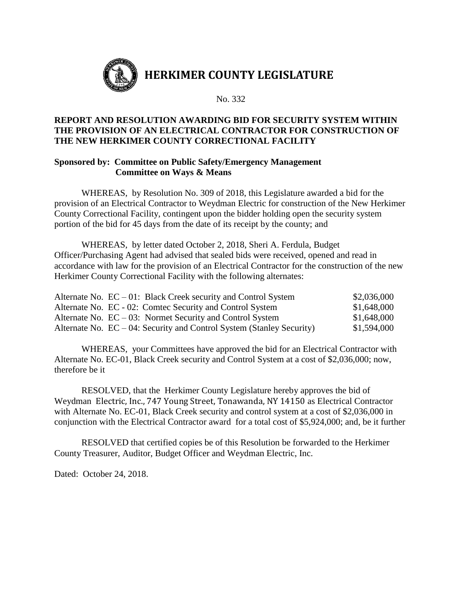

## **REPORT AND RESOLUTION AWARDING BID FOR SECURITY SYSTEM WITHIN THE PROVISION OF AN ELECTRICAL CONTRACTOR FOR CONSTRUCTION OF THE NEW HERKIMER COUNTY CORRECTIONAL FACILITY**

#### **Sponsored by: Committee on Public Safety/Emergency Management Committee on Ways & Means**

WHEREAS, by Resolution No. 309 of 2018, this Legislature awarded a bid for the provision of an Electrical Contractor to Weydman Electric for construction of the New Herkimer County Correctional Facility, contingent upon the bidder holding open the security system portion of the bid for 45 days from the date of its receipt by the county; and

WHEREAS, by letter dated October 2, 2018, Sheri A. Ferdula, Budget Officer/Purchasing Agent had advised that sealed bids were received, opened and read in accordance with law for the provision of an Electrical Contractor for the construction of the new Herkimer County Correctional Facility with the following alternates:

| Alternate No. $EC - 01$ : Black Creek security and Control System        | \$2,036,000 |
|--------------------------------------------------------------------------|-------------|
| Alternate No. EC - 02: Comtec Security and Control System                | \$1,648,000 |
| Alternate No. $EC - 03$ : Normet Security and Control System             | \$1,648,000 |
| Alternate No. $EC - 04$ : Security and Control System (Stanley Security) | \$1,594,000 |

WHEREAS, your Committees have approved the bid for an Electrical Contractor with Alternate No. EC-01, Black Creek security and Control System at a cost of \$2,036,000; now, therefore be it

RESOLVED, that the Herkimer County Legislature hereby approves the bid of Weydman Electric, Inc., 747 Young Street, Tonawanda, NY 14150 as Electrical Contractor with Alternate No. EC-01, Black Creek security and control system at a cost of \$2,036,000 in conjunction with the Electrical Contractor award for a total cost of \$5,924,000; and, be it further

RESOLVED that certified copies be of this Resolution be forwarded to the Herkimer County Treasurer, Auditor, Budget Officer and Weydman Electric, Inc.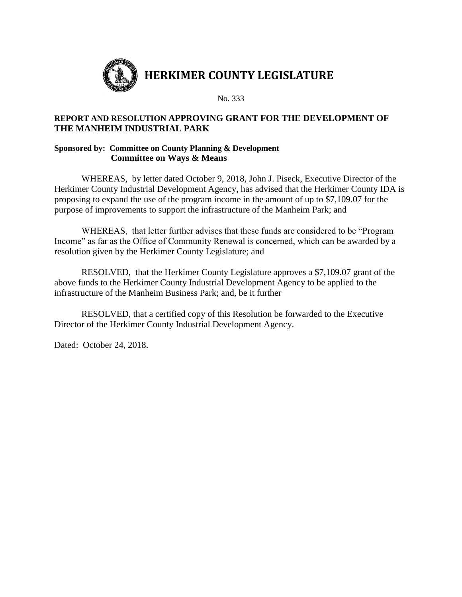

## **REPORT AND RESOLUTION APPROVING GRANT FOR THE DEVELOPMENT OF THE MANHEIM INDUSTRIAL PARK**

#### **Sponsored by: Committee on County Planning & Development Committee on Ways & Means**

WHEREAS, by letter dated October 9, 2018, John J. Piseck, Executive Director of the Herkimer County Industrial Development Agency, has advised that the Herkimer County IDA is proposing to expand the use of the program income in the amount of up to \$7,109.07 for the purpose of improvements to support the infrastructure of the Manheim Park; and

WHEREAS, that letter further advises that these funds are considered to be "Program Income" as far as the Office of Community Renewal is concerned, which can be awarded by a resolution given by the Herkimer County Legislature; and

RESOLVED, that the Herkimer County Legislature approves a \$7,109.07 grant of the above funds to the Herkimer County Industrial Development Agency to be applied to the infrastructure of the Manheim Business Park; and, be it further

RESOLVED, that a certified copy of this Resolution be forwarded to the Executive Director of the Herkimer County Industrial Development Agency.